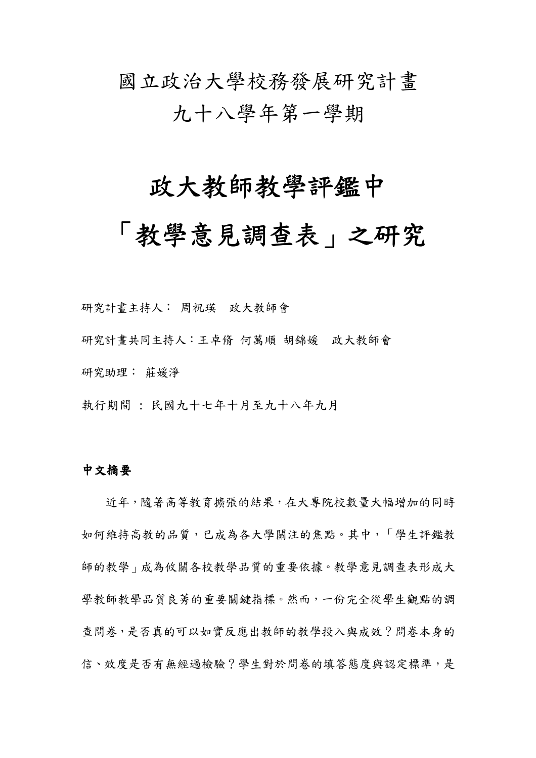# 國立政治大學校務發展研究計畫 九十八學年第一學期

### 政大教師教學評鑑中

## 「教學意見調查表」之研究

研究計畫主持人: 周祝瑛 政大教師會 研究計畫共同主持人:王卓脩 何萬順 胡錦媛 政大教師會 研究助理: 莊媛淨

執行期間 : 民國九十七年十月至九十八年九月

#### 中文摘要

 近年,隨著高等教育擴張的結果,在大專院校數量大幅增加的同時 如何維持高教的品質,已成為各大學關注的焦點。其中,「學生評鑑教 師的教學」成為攸關各校教學品質的重要依據。教學意見調查表形成大 學教師教學品質良莠的重要關鍵指標。然而,一份完全從學生觀點的調 查問卷,是否真的可以如實反應出教師的教學投入與成效?問卷本身的 信、效度是否有無經過檢驗?學生對於問卷的填答態度與認定標準,是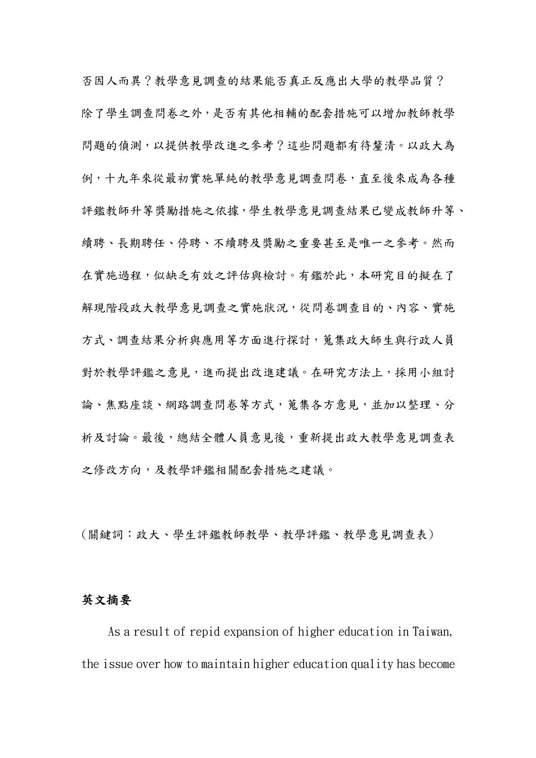否因人而異?教學意見調查的結果能否真正反應出大學的教學品質? 除了學生調查問卷之外,是否有其他相輔的配套措施可以增加教師教學 問題的偵測,以提供教學改進之參考?這些問題都有待釐清。以政大為 例,十九年來從最初實施單純的教學意見調查問卷,直至後來成為各種 評鑑教師升等獎勵措施之依據,學生教學意見調查結果已變成教師升等、 續聘、長期聘任、停聘、不續聘及獎勵之重要甚至是唯一之參考。然而 在實施過程,似缺乏有效之評估與檢討。有鑑於此,本研究目的擬在了 解現階段政大教學意見調查之實施狀況,從問卷調查目的、內容、實施 方式、調查結果分析與應用等方面進行探討,蒐集政大師生與行政人員 對於教學評鑑之意見,進而提出改進建議。在研究方法上,採用小組討 論、焦點座談、網路調查問卷等方式,蒐集各方意見,並加以整理、分 析及討論。最後,總結全體人員意見後,重新提出政大教學意見調查表 之修改方向,及教學評鑑相關配套措施之建議。

(關鍵詞:政大、學生評鑑教師教學、教學評鑑、教學意見調查表)

#### 英文摘要

As a result of repid expansion of higher education in Taiwan, the issue over how to maintain higher education quality has become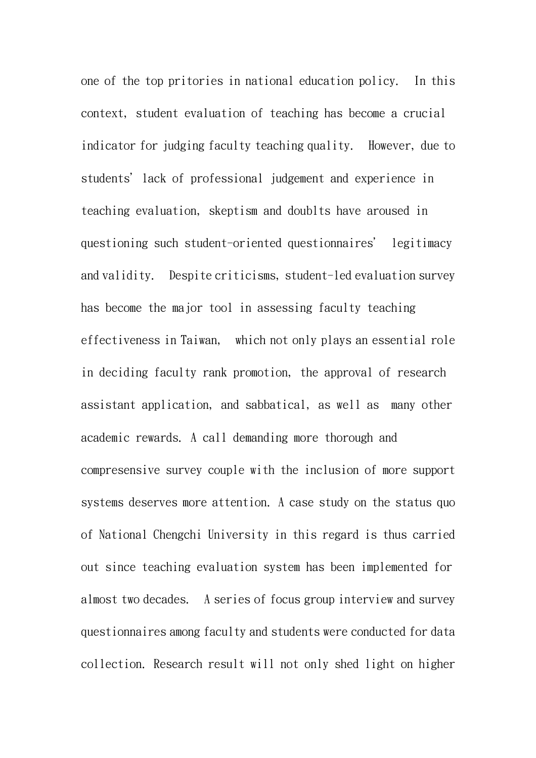one of the top pritories in national education policy. In this context, student evaluation of teaching has become a crucial indicator for judging faculty teaching quality. However, due to students' lack of professional judgement and experience in teaching evaluation, skeptism and doublts have aroused in questioning such student-oriented questionnaires' legitimacy and validity. Despite criticisms, student-led evaluation survey has become the major tool in assessing faculty teaching effectiveness in Taiwan, which not only plays an essential role in deciding faculty rank promotion, the approval of research assistant application, and sabbatical, as well as many other academic rewards. A call demanding more thorough and compresensive survey couple with the inclusion of more support systems deserves more attention. A case study on the status quo of National Chengchi University in this regard is thus carried out since teaching evaluation system has been implemented for almost two decades. A series of focus group interview and survey questionnaires among faculty and students were conducted for data collection. Research result will not only shed light on higher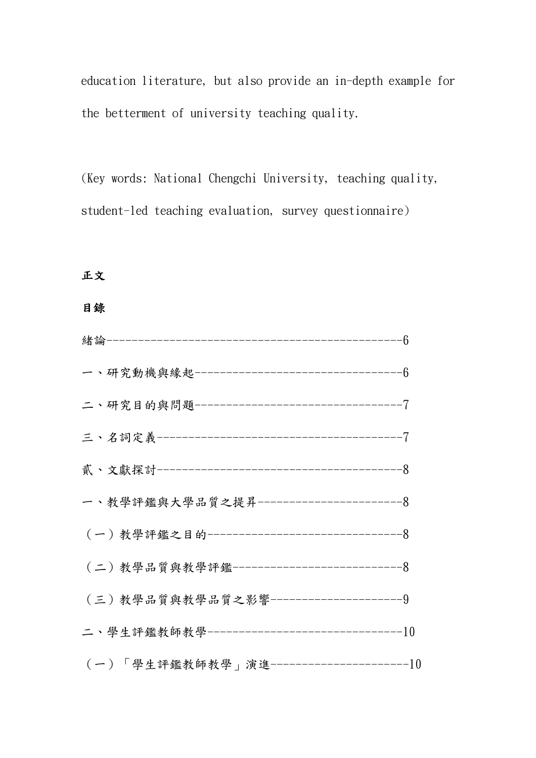education literature, but also provide an in-depth example for the betterment of university teaching quality.

(Key words: National Chengchi University, teaching quality, student-led teaching evaluation, survey questionnaire)

正文

#### 目錄

| 一、研究動機與緣起----------------------------------6  |  |
|-----------------------------------------------|--|
| 二、研究目的與問題-----------------------------------7 |  |
|                                               |  |
|                                               |  |
|                                               |  |
| (一)教學評鑑之目的---------------------------------8  |  |
| (二)教學品質與教學評鑑----------------------------8     |  |
| (三)教學品質與教學品質之影響----------------------9        |  |
| 二、學生評鑑教師教學---------------------------------10 |  |
| (一)「學生評鑑教師教學」演進-----------------------10      |  |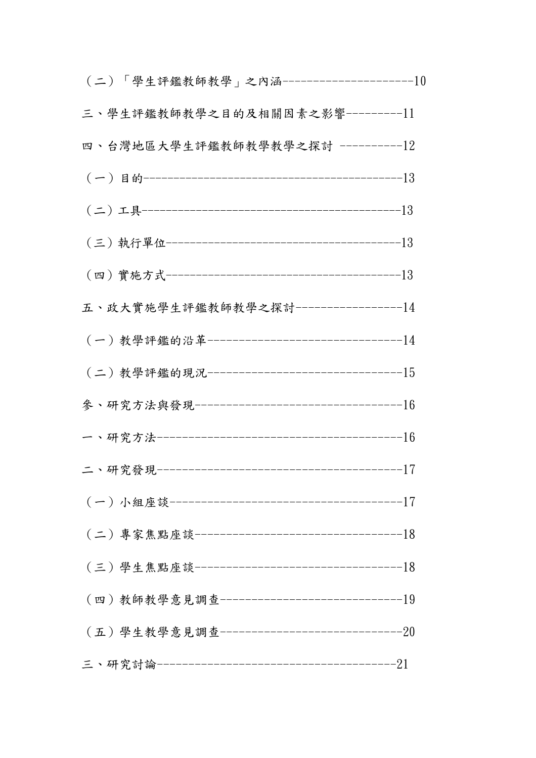| (二)「學生評鑑教師教學」之內涵---------------------10      |  |
|----------------------------------------------|--|
| 三、學生評鑑教師教學之目的及相關因素之影響----------11            |  |
| 四、台灣地區大學生評鑑教師教學教學之探討 -----------12           |  |
|                                              |  |
|                                              |  |
|                                              |  |
|                                              |  |
| 五、政大實施學生評鑑教師教學之探討-----------------14         |  |
| (一)教學評鑑的沿革--------------------------------14 |  |
|                                              |  |
|                                              |  |
|                                              |  |
|                                              |  |
|                                              |  |
|                                              |  |
|                                              |  |
| (四)教師教學意見調查-------------------------------19 |  |
| (五)學生教學意見調查-------------------------------20 |  |
|                                              |  |